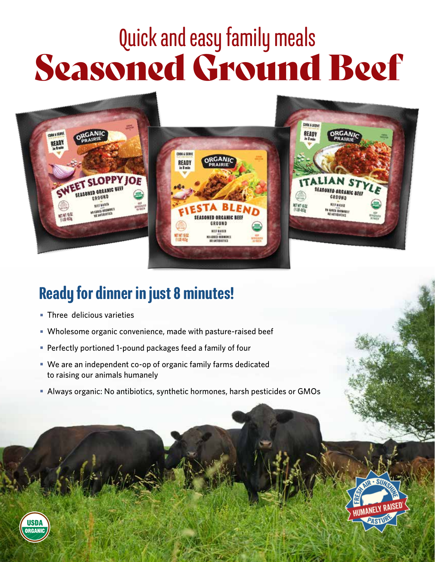# Quick and easy family meals Seasoned Ground Beef



## Ready for dinner in just 8 minutes!

- **Three delicious varieties**
- Wholesome organic convenience, made with pasture-raised beef
- **Perfectly portioned 1-pound packages feed a family of four**
- We are an independent co-op of organic family farms dedicated to raising our animals humanely
- Always organic: No antibiotics, synthetic hormones, harsh pesticides or GMOs